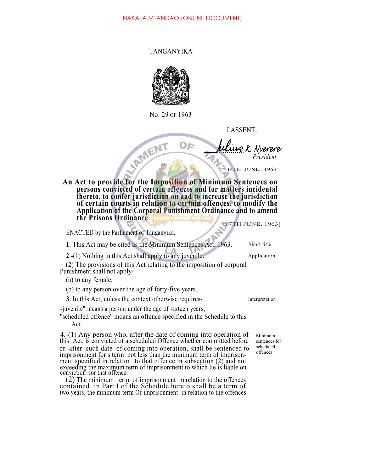# TANGANYIKA



No. 29 OF 1963

OF

I ASSENT,

*K. Nyerere President*

14TH JUNE, 1963

**An Act to provide for the Imposition of Minimum Sentences on persons convicted of certain offences and for matters incidental thereto, to confer jurisdiction on and to increase the jurisdiction of certain courts in relation to certain offences, to modify the Application of the Corporal Punishment Ordinance and to amend the Prisons Ordinance**

**17TH JUNE, 1963]** 

ENACTED by the Parliament of Tanganyika.

**1**. This Act may be cited as the Minimum Sentences Act, 1963. Short title

**IRMENT** 

**2.-(1)** Nothing in this Act shall apply to any juvenile. Application

(2) The provisions of this Act relating to the imposition of corporal Punishment shall not apply-

(a) to any female;

(b) to any person over the age of forty-five years.

**3**. In this Act, unless the context otherwise requires- Interpretation

-juvenile" means a person under the age of sixteen years;

''scheduled offence'' moans an offence specified in the Schedule to this Act.

**4.**-(1) Any person who, after the date of coming into operation of this Act, is convicted of a scheduled Offence whether committed before or after such date of coming into operation, shall be sentenced to imprisonment for s term not less than the minimum term of imprisonment specified in relation to that offence in subsection (2) and not exceeding the maximum term of imprisonment to which lie is liable on conviction for that offence.

(2) The minimum term of imprisonment in relation to the offences contained in Part I of the Schedule hereto shall be a term of two years, the minimum term Of imprisonment in relation to the offences

Minimum sentences for scheduled offences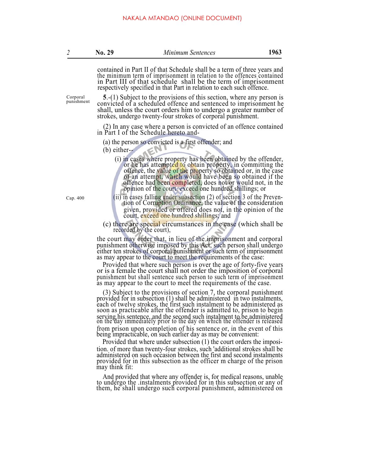| 2                      | No. 29                                                                                                                                                                                                                                                                                        | Minimum Sentences                                                                                                                                                                                                                                                                                                                                                                                                                                                                                                                                                                                                                                                                                                                                                                           | 1963 |
|------------------------|-----------------------------------------------------------------------------------------------------------------------------------------------------------------------------------------------------------------------------------------------------------------------------------------------|---------------------------------------------------------------------------------------------------------------------------------------------------------------------------------------------------------------------------------------------------------------------------------------------------------------------------------------------------------------------------------------------------------------------------------------------------------------------------------------------------------------------------------------------------------------------------------------------------------------------------------------------------------------------------------------------------------------------------------------------------------------------------------------------|------|
|                        | contained in Part II of that Schedule shall be a term of three years and<br>the minimum term of imprisonment in relation to the offences contained<br>in Part III of that schedule shall be the term of imprisonment<br>respectively specified in that Part in relation to each such offence. |                                                                                                                                                                                                                                                                                                                                                                                                                                                                                                                                                                                                                                                                                                                                                                                             |      |
| Corporal<br>punishment |                                                                                                                                                                                                                                                                                               | 5. (1) Subject to the provisions of this section, where any person is<br>convicted of a scheduled offence and sentenced to imprisonment he<br>shall, unless the court orders him to undergo a greater number of<br>strokes, undergo twenty-four strokes of corporal punishment.                                                                                                                                                                                                                                                                                                                                                                                                                                                                                                             |      |
|                        |                                                                                                                                                                                                                                                                                               | (2) In any case where a person is convicted of an offence contained<br>in Part I of the Schedule hereto and-                                                                                                                                                                                                                                                                                                                                                                                                                                                                                                                                                                                                                                                                                |      |
| Cap. 400               | $(b)$ either--                                                                                                                                                                                                                                                                                | (a) the person so convicted is a first offender; and<br>(i) in cases where property has been obtained by the offender,<br>or he has attempted to obtain property, in committing the<br>offence, the value of the property so obtained or, in the case<br>of an attempt, which would have been so obtained if the<br>offence had been completed, does not or would not, in the<br>opinion of the court, exceed one hundred shillings; or<br>(ii) in cases falling under subsection $(2)$ of section 3 of the Preven-<br>tion of Corruption Ordinance, the value of the consideration<br>given, provided or offered does not, in the opinion of the<br>court, exceed one hundred shillings; and<br>(c) there are special circumstances in the case (which shall be<br>recorded by the court), |      |
|                        |                                                                                                                                                                                                                                                                                               | the court may order that, in lieu of the imprisonment and corporal<br>punishment otherwise imposed by this Act, such person shall undergo<br>either ten strokes of corporal punishment or such term of imprisonment<br>as may appear to the court to meet the requirements of the case:<br>Provided that where such person is over the age of forty-five years<br>or is a female the court shall not order the imposition of corporal<br>punishment but shall sentence such person to such term of imprisonment<br>as may appear to the court to meet the requirements of the case.                                                                                                                                                                                                         |      |
|                        |                                                                                                                                                                                                                                                                                               | (3) Subject to the provisions of section 7, the corporal punishment<br>provided for in subsection (1) shall be administered in two instalments,<br>each of twelve strokes, the first such instalment to be administered as<br>soon as practicable after the offender is admitted to, prison to begin                                                                                                                                                                                                                                                                                                                                                                                                                                                                                        |      |

soon as practicable after the offender is admitted to, prison to begin serving his sentence, and the second such instalment to be administered on the day immediately prior to the day on which the offender is released from prison upon completion of his sentence or, in the event of this being impracticable, on such earlier day as may be convenient:

Provided that where under subsection (1) the court orders the imposition. of more than twenty-four strokes, such 'additional strokes shall be administered on such occasion between the first and second instalments provided for in this subsection as the officer m charge of the prison may think fit:

And provided that where any offender is, for medical reasons, unable to undergo the .instalments provided for in this subsection or any of them, he shall undergo such corporal punishment, administered on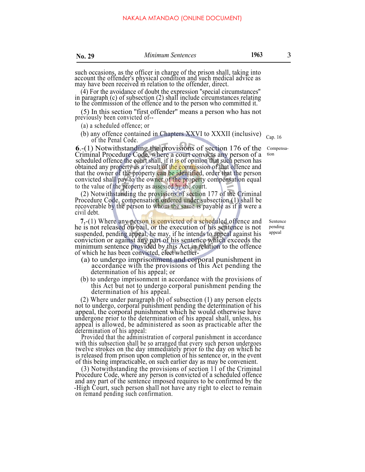such occasions, as the officer in charge of the prison shall, taking into account the offender's physical condition and such medical advice as may have been received m relation to the offender, direct.

(4) For the avoidance of doubt the expression ''special circumstances'' in paragraph (c) of subsection (2) shall include circumstances relating to the commission of the offence and to the person who committed it.

(5) In this section ''first offender'' means a person who has not previously been convicted of--

(a) a scheduled offence; or

(b) any offence contained in Chapters XXVI to XXXII (inclusive)  $_{Cap. 16}$  of the Penal Code.

**6**.-(1) Notwithstanding the provisions of section 176 of the Compensa-Criminal Procedure Code, where a court convicts any person of a scheduled offence the court shall, if it is of opinion that such person has obtained any property as a result of the commission of that offence and that the owner of the property can be identified, order that the person convicted shall pay to the owner of the property compensation equal to the value of the property as assessed by the court.

(2) Notwithstanding the provisions of section 177 of the Criminal Procedure Code, compensation ordered under subsection (1) shall be recoverable by the person to whom the same is payable as if it were a civil debt.

**7.**-(1) Where any person is convicted of a scheduled offence and he is not released on bail, or the execution of his sentence is not suspended, pending appeal, he may, if he intends to appeal against his conviction or against any part of his sentence which exceeds the minimum sentence provided by this Act in relation to the offence of which he has been convicted, elect whether-

- (a) to undergo imprisonment and corporal punishment in accordance with the provisions of this Act pending the determination of his appeal; or
- (b) to undergo imprisonment in accordance with the provisions of this Act but not to undergo corporal punishment pending the determination of his appeal.

(2) Where under paragraph (b) of subsection (1) any person elects not to undergo, corporal punishment pending the determination of his appeal, the corporal punishment which he would otherwise have undergone prior to the determination of his appeal shall, unless, his appeal is allowed, be administered as soon as practicable after the determination of his appeal:

Provided that the administration of corporal punishment in accordance with this subsection shall be so arranged that every such person undergoes twelve strokes on the day immediately prior to the day on which he is released from prison upon completion of his sentence or, in the event of this being impracticable, on such earlier day as may be convenient.

(3) Notwithstanding the provisions of section 11 of the Criminal Procedure Code, where any person is convicted of a scheduled offence -High Court, such person shall not have any right to elect to remain on remand pending such confirmation.

Sentence pending appeal

tion

3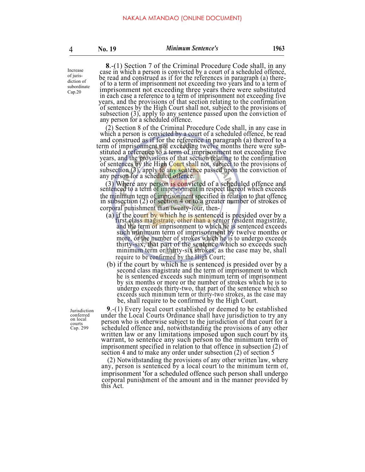Increase of jurisdiction of subordinate Cap.20

**<sup>8</sup>**.-(1) Section 7 of the Criminal Procedure Code shall, in any case in which a person is convicted by a court of a scheduled offence, be read and construed as if for the references in paragraph (a) there- of to a term of imprisonment not exceeding two years and to a term of imprisonment not exceeding three years there were substituted in each case a reference to a term of imprisonment not exceeding five years, and the provisions of that section relating to the confirmation of sentences by the High Court shall not, subject to the provisions of subsection (3), apply to any sentence passed upon the conviction of any person for a scheduled offence.

(2) Section 8 of the Criminal Procedure Code shall, in any case in which a person is convicted by a court of a scheduled offence, be read and construed as if for the reference in paragraph (a) thereof to a term of imprisonment not exceeding twelve months there were substituted a reference to a term of imprisonment not exceeding five years, and the provisions of that section relating to the confirmation of sentences by the High Court shall not, subject to the provisions of subsection (3), apply to any sentence passed upon the conviction of any person for a scheduled offence.

(3) Where any person is convicted of a scheduled offence and sentenced to a term of imprisonment in respect thereof which exceeds the minimum term of imprisonment specified in relation to that offence in subsection (2) of section 4 or to a greater number of strokes of corporal punishment than twenty-four, then-

- (a) if the court by which he is sentenced is presided over by a first class magistrate, other than a senior resident magistrate, and the term of imprisonment to which he is sentenced exceeds such minimum term of imprisonment by twelve months or more, or the number of strokes which he is to undergo exceeds thirty-six, that part of the sentence which so exceeds such minimum term or thirty-six strokes, as the case may be, shall require to be confirmed by the High Court;
- (b) if the court by which he is sentenced is presided over by a second class magistrate and the term of imprisonment to which he is sentenced exceeds such minimum term of imprisonment by six months or more or the number of strokes which he is to undergo exceeds thirty-two, that part of the sentence which so exceeds such minimum term or thirty-two strokes, as the case may be, shall require to be confirmed by the High Court.

Jurisdiction conferred on local courts Cap. 299

**<sup>9</sup>**.-(1) Every local court established or deemed to be established under the Local Courts Ordinance shall have jurisdiction to try any person who is otherwise subject to the jurisdiction of that court for a scheduled offence and, notwithstanding the provisions of any other written law or any limitations imposed upon such court by its warrant, to sentence any such person to the minimum term of imprisonment specified in relation to that offence in subsection  $(2)$  of section 4 and to make any order under subsection  $(2)$  of section 5

(2) Notwithstanding the provisions of any other written law, where any, person is sentenced by a local court to the minimum term of, imprisonment 'for a scheduled offence such person shall undergo corporal punishment of the amount and in the manner provided by this Act.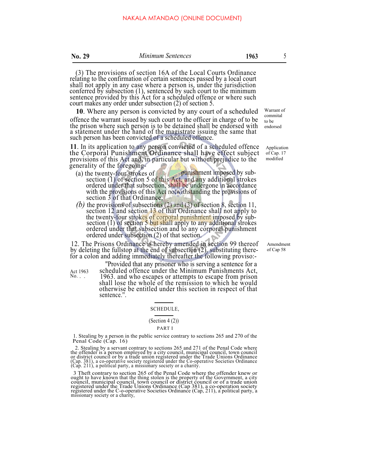(3) The provisions of section 16A of the Local Courts Ordinance relating to the confirmation of certain sentences passed by a local court shall not apply in any case where a person is, under the jurisdiction conferred by subsection (1), sentenced by such court to the minimum sentence provided by this Act for a scheduled offence or where such court makes any order under subsection (2) of section 5.

**10**. Where any person is convicted by any court of a scheduled offence the warrant issued by such court to the officer in charge of to be the prison where such person is to be detained shall be endorsed with a statement under the hand of the magistrate issuing the same that such person has been convicted of a scheduled offence.

**<sup>11</sup>**. In its application to any person convicted of a scheduled offence the Corporal Punishment Ordinance shall have effect subject provisions of this Act and, in particular but without prejudice to the generality of the foregoing-

- (a) the twenty-four strokes of punishment imposed by subsection (1) of section 5 of this Act, and any additional strokes ordered under that subsection, shall be undergone in accordance with the provisions of this Act notwithstanding the provisions of section 3 of that Ordinance;
- *(b)* the provisions of subsections (2) and (3) of section 8, section 11, section 12 and section 13 of that Ordinance shall not apply to the twenty-four strokes of corporal punishment imposed by subsection (1) of section 5 but shall apply to any additional strokes ordered under that subsection and to any corporal punishment ordered under subsection (2) of that section.

12. The Prisons Ordinance is hereby amended in section 99 thereof by deleting the fullstop at the end of subsection  $(2)$ , substituting therefor a colon and adding immediately thereafter the following proviso:-

''Provided that any prisoner who is serving a sentence for a scheduled offence under the Minimum Punishments Act,

Act 1963 No.

1963. and who escapes or attempts to escape from prison shall lose the whole of the remission to which he would otherwise be entitled under this section in respect of that sentence.''.

### SCHEDULE,

## (Section 4 (2)) PART I

1. Stealing by a person in the public service contrary to sections 265 and 270 of the Penal Code (Cap. 16)

2. Stealing by a servant contrary to sections 265 and 271 of the Penal Code where<br>the offender is a person employed by a city council, municipal council, town council<br>or district council or by a trade union registered unde

3 Theft contrary to section 265 of the Penal Code where the offender knew or ought to have known that the thing stolen is the property of the Government, a city council, municipal council, town council or district council or of a trade union registered under the Trade Unions Ordinance (Cap 381), a co-operation society registered under the C-o-operative Societies Ordinance (Cap, 211), a political party, a missionary society or a charity,

Warrant of commital to be endorsed

Application of Cap. 17 modified

Amendment of Cap 58